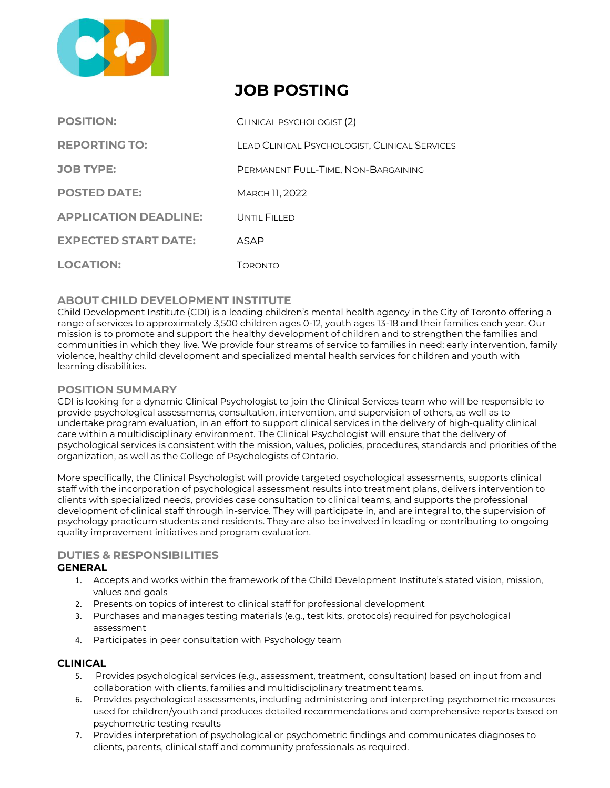

# **JOB POSTING**

| <b>POSITION:</b>             | CLINICAL PSYCHOLOGIST (2)                     |
|------------------------------|-----------------------------------------------|
| <b>REPORTING TO:</b>         | LEAD CLINICAL PSYCHOLOGIST, CLINICAL SERVICES |
| <b>JOB TYPE:</b>             | PERMANENT FULL-TIME, NON-BARGAINING           |
| <b>POSTED DATE:</b>          | <b>MARCH 11, 2022</b>                         |
| <b>APPLICATION DEADLINE:</b> | UNTIL FILLED                                  |
| <b>EXPECTED START DATE:</b>  | ASAP                                          |
| <b>LOCATION:</b>             | Торолто                                       |

# **ABOUT CHILD DEVELOPMENT INSTITUTE**

Child Development Institute (CDI) is a leading children's mental health agency in the City of Toronto offering a range of services to approximately 3,500 children ages 0‐12, youth ages 13-18 and their families each year. Our mission is to promote and support the healthy development of children and to strengthen the families and communities in which they live. We provide four streams of service to families in need: early intervention, family violence, healthy child development and specialized mental health services for children and youth with learning disabilities.

# **POSITION SUMMARY**

CDI is looking for a dynamic Clinical Psychologist to join the Clinical Services team who will be responsible to provide psychological assessments, consultation, intervention, and supervision of others, as well as to undertake program evaluation, in an effort to support clinical services in the delivery of high-quality clinical care within a multidisciplinary environment. The Clinical Psychologist will ensure that the delivery of psychological services is consistent with the mission, values, policies, procedures, standards and priorities of the organization, as well as the College of Psychologists of Ontario.

More specifically, the Clinical Psychologist will provide targeted psychological assessments, supports clinical staff with the incorporation of psychological assessment results into treatment plans, delivers intervention to clients with specialized needs, provides case consultation to clinical teams, and supports the professional development of clinical staff through in-service. They will participate in, and are integral to, the supervision of psychology practicum students and residents. They are also be involved in leading or contributing to ongoing quality improvement initiatives and program evaluation.

# **DUTIES & RESPONSIBILITIES**

# **GENERAL**

- 1. Accepts and works within the framework of the Child Development Institute's stated vision, mission, values and goals
- 2. Presents on topics of interest to clinical staff for professional development
- 3. Purchases and manages testing materials (e.g., test kits, protocols) required for psychological assessment
- 4. Participates in peer consultation with Psychology team

# **CLINICAL**

- 5. Provides psychological services (e.g., assessment, treatment, consultation) based on input from and collaboration with clients, families and multidisciplinary treatment teams.
- 6. Provides psychological assessments, including administering and interpreting psychometric measures used for children/youth and produces detailed recommendations and comprehensive reports based on psychometric testing results
- 7. Provides interpretation of psychological or psychometric findings and communicates diagnoses to clients, parents, clinical staff and community professionals as required.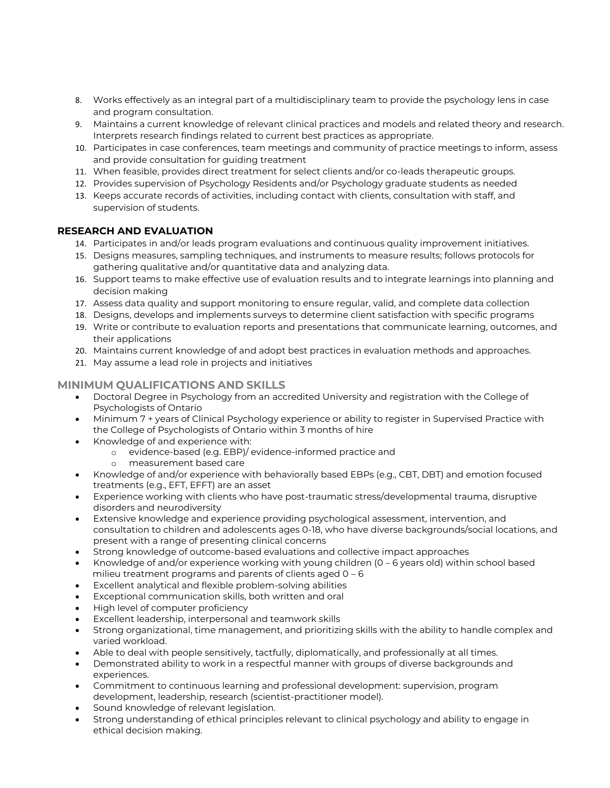- 8. Works effectively as an integral part of a multidisciplinary team to provide the psychology lens in case and program consultation.
- 9. Maintains a current knowledge of relevant clinical practices and models and related theory and research. Interprets research findings related to current best practices as appropriate.
- 10. Participates in case conferences, team meetings and community of practice meetings to inform, assess and provide consultation for guiding treatment
- 11. When feasible, provides direct treatment for select clients and/or co-leads therapeutic groups.
- 12. Provides supervision of Psychology Residents and/or Psychology graduate students as needed
- 13. Keeps accurate records of activities, including contact with clients, consultation with staff, and supervision of students.

# **RESEARCH AND EVALUATION**

- 14. Participates in and/or leads program evaluations and continuous quality improvement initiatives.
- 15. Designs measures, sampling techniques, and instruments to measure results; follows protocols for gathering qualitative and/or quantitative data and analyzing data.
- 16. Support teams to make effective use of evaluation results and to integrate learnings into planning and decision making
- 17. Assess data quality and support monitoring to ensure regular, valid, and complete data collection
- 18. Designs, develops and implements surveys to determine client satisfaction with specific programs
- 19. Write or contribute to evaluation reports and presentations that communicate learning, outcomes, and their applications
- 20. Maintains current knowledge of and adopt best practices in evaluation methods and approaches.
- 21. May assume a lead role in projects and initiatives

# **MINIMUM QUALIFICATIONS AND SKILLS**

- Doctoral Degree in Psychology from an accredited University and registration with the College of Psychologists of Ontario
- Minimum 7 + years of Clinical Psychology experience or ability to register in Supervised Practice with the College of Psychologists of Ontario within 3 months of hire
- Knowledge of and experience with:
	- o evidence-based (e.g. EBP)/ evidence-informed practice and
	- o measurement based care
- Knowledge of and/or experience with behaviorally based EBPs (e.g., CBT, DBT) and emotion focused treatments (e.g., EFT, EFFT) are an asset
- Experience working with clients who have post-traumatic stress/developmental trauma, disruptive disorders and neurodiversity
- Extensive knowledge and experience providing psychological assessment, intervention, and consultation to children and adolescents ages 0-18, who have diverse backgrounds/social locations, and present with a range of presenting clinical concerns
- Strong knowledge of outcome-based evaluations and collective impact approaches
- Knowledge of and/or experience working with young children (0 6 years old) within school based milieu treatment programs and parents of clients aged 0 – 6
- Excellent analytical and flexible problem-solving abilities
- Exceptional communication skills, both written and oral
- High level of computer proficiency
- Excellent leadership, interpersonal and teamwork skills
- Strong organizational, time management, and prioritizing skills with the ability to handle complex and varied workload.
- Able to deal with people sensitively, tactfully, diplomatically, and professionally at all times.
- Demonstrated ability to work in a respectful manner with groups of diverse backgrounds and experiences.
- Commitment to continuous learning and professional development: supervision, program development, leadership, research (scientist-practitioner model).
- Sound knowledge of relevant legislation.
- Strong understanding of ethical principles relevant to clinical psychology and ability to engage in ethical decision making.